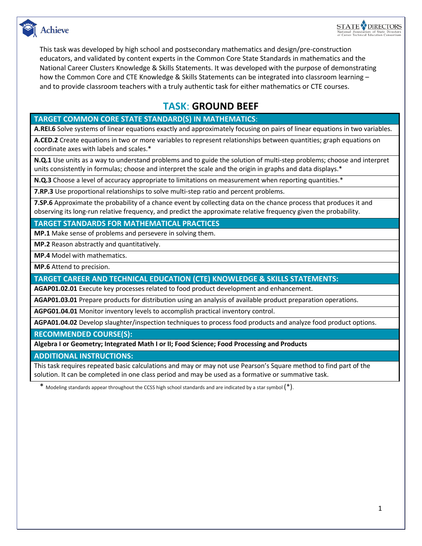

This task was developed by high school and postsecondary mathematics and design/pre-construction educators, and validated by content experts in the Common Core State Standards in mathematics and the National Career Clusters Knowledge & Skills Statements. It was developed with the purpose of demonstrating how the Common Core and CTE Knowledge & Skills Statements can be integrated into classroom learning – and to provide classroom teachers with a truly authentic task for either mathematics or CTE courses.

### **TASK**: **GROUND BEEF**

### **TARGET COMMON CORE STATE STANDARD(S) IN MATHEMATICS**:

**A.REI.6** Solve systems of linear equations exactly and approximately focusing on pairs of linear equations in two variables.

**A.CED.2** Create equations in two or more variables to represent relationships between quantities; graph equations on coordinate axes with labels and scales.\*

**N.Q.1** Use units as a way to understand problems and to guide the solution of multi-step problems; choose and interpret units consistently in formulas; choose and interpret the scale and the origin in graphs and data displays.\*

**N.Q.3** Choose a level of accuracy appropriate to limitations on measurement when reporting quantities.\*

**7.RP.3** Use proportional relationships to solve multi-step ratio and percent problems.

**7.SP.6** Approximate the probability of a chance event by collecting data on the chance process that produces it and observing its long-run relative frequency, and predict the approximate relative frequency given the probability.

**TARGET STANDARDS FOR MATHEMATICAL PRACTICES**

**MP.1** Make sense of problems and persevere in solving them.

**MP.2** Reason abstractly and quantitatively.

**MP.4** Model with mathematics.

**MP.6** Attend to precision.

**TARGET CAREER AND TECHNICAL EDUCATION (CTE) KNOWLEDGE & SKILLS STATEMENTS:**

**AGAP01.02.01** Execute key processes related to food product development and enhancement.

**AGAP01.03.01** Prepare products for distribution using an analysis of available product preparation operations.

**AGPG01.04.01** Monitor inventory levels to accomplish practical inventory control.

**AGPA01.04.02** Develop slaughter/inspection techniques to process food products and analyze food product options.

**RECOMMENDED COURSE(S):**

**Algebra I or Geometry; Integrated Math I or II; Food Science; Food Processing and Products**

**ADDITIONAL INSTRUCTIONS:**

This task requires repeated basic calculations and may or may not use Pearson's Square method to find part of the solution. It can be completed in one class period and may be used as a formative or summative task.

\* Modeling standards appear throughout the CCSS high school standards and are indicated by a star symbol (\*).

**STATE DIRECTORS**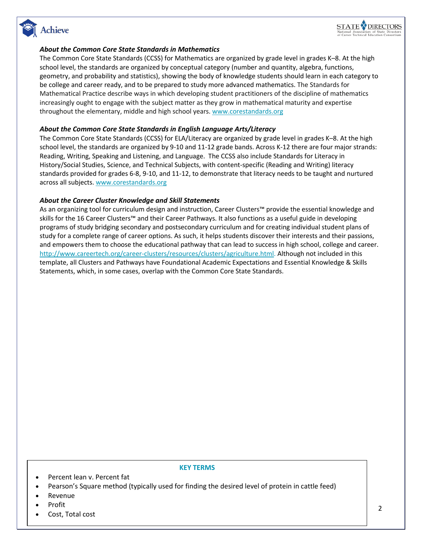

### *About the Common Core State Standards in Mathematics*

The Common Core State Standards (CCSS) for Mathematics are organized by grade level in grades K–8. At the high school level, the standards are organized by conceptual category (number and quantity, algebra, functions, geometry, and probability and statistics), showing the body of knowledge students should learn in each category to be college and career ready, and to be prepared to study more advanced mathematics. The Standards for Mathematical Practice describe ways in which developing student practitioners of the discipline of mathematics increasingly ought to engage with the subject matter as they grow in mathematical maturity and expertise throughout the elementary, middle and high school years. [www.corestandards.org](http://www.corestandards.org/)

#### *About the Common Core State Standards in English Language Arts/Literacy*

The Common Core State Standards (CCSS) for ELA/Literacy are organized by grade level in grades K–8. At the high school level, the standards are organized by 9-10 and 11-12 grade bands. Across K-12 there are four major strands: Reading, Writing, Speaking and Listening, and Language. The CCSS also include Standards for Literacy in History/Social Studies, Science, and Technical Subjects, with content-specific (Reading and Writing) literacy standards provided for grades 6-8, 9-10, and 11-12, to demonstrate that literacy needs to be taught and nurtured across all subjects. [www.corestandards.org](http://www.corestandards.org/)

#### *About the Career Cluster Knowledge and Skill Statements*

As an organizing tool for curriculum design and instruction, Career Clusters™ provide the essential knowledge and skills for the 16 Career Clusters™ and their Career Pathways. It also functions as a useful guide in developing programs of study bridging secondary and postsecondary curriculum and for creating individual student plans of study for a complete range of career options. As such, it helps students discover their interests and their passions, and empowers them to choose the educational pathway that can lead to success in high school, college and career. [http://www.careertech.org/career-clusters/resources/clusters/agriculture.html.](http://www.careertech.org/career-clusters/resources/clusters/agriculture.html) Although not included in this template, all Clusters and Pathways have Foundational Academic Expectations and Essential Knowledge & Skills Statements, which, in some cases, overlap with the Common Core State Standards.

#### **KEY TERMS**

- Percent lean v. Percent fat
- Pearson's Square method (typically used for finding the desired level of protein in cattle feed)
- Revenue
- Profit
- Cost, Total cost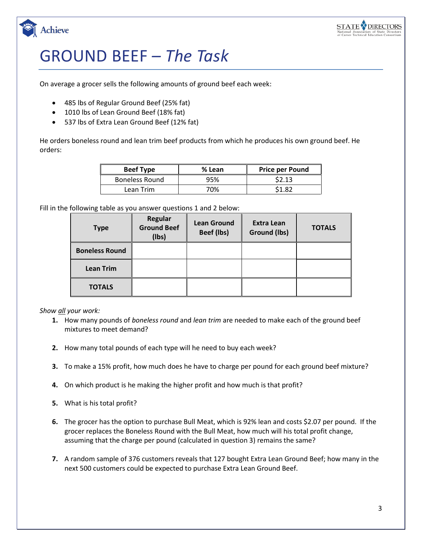

Achieve

## GROUND BEEF *– The Task*

On average a grocer sells the following amounts of ground beef each week:

- 485 lbs of Regular Ground Beef (25% fat)
- 1010 lbs of Lean Ground Beef (18% fat)
- 537 lbs of Extra Lean Ground Beef (12% fat)

He orders boneless round and lean trim beef products from which he produces his own ground beef. He orders:

| <b>Beef Type</b>      | % Lean | <b>Price per Pound</b> |
|-----------------------|--------|------------------------|
| <b>Boneless Round</b> | 95%    | \$2.13                 |
| Lean Trim             | 70%    | S1.82                  |

Fill in the following table as you answer questions 1 and 2 below:

| <b>Type</b>           | Regular<br><b>Ground Beef</b><br>(lbs) | <b>Lean Ground</b><br>Beef (lbs) | <b>Extra Lean</b><br>Ground (lbs) | <b>TOTALS</b> |
|-----------------------|----------------------------------------|----------------------------------|-----------------------------------|---------------|
| <b>Boneless Round</b> |                                        |                                  |                                   |               |
| <b>Lean Trim</b>      |                                        |                                  |                                   |               |
| <b>TOTALS</b>         |                                        |                                  |                                   |               |

*Show all your work:*

- **1.** How many pounds of *boneless round* and *lean trim* are needed to make each of the ground beef mixtures to meet demand?
- **2.** How many total pounds of each type will he need to buy each week?
- **3.** To make a 15% profit, how much does he have to charge per pound for each ground beef mixture?
- **4.** On which product is he making the higher profit and how much is that profit?
- **5.** What is his total profit?
- **6.** The grocer has the option to purchase Bull Meat, which is 92% lean and costs \$2.07 per pound. If the grocer replaces the Boneless Round with the Bull Meat, how much will his total profit change, assuming that the charge per pound (calculated in question 3) remains the same?
- **7.** A random sample of 376 customers reveals that 127 bought Extra Lean Ground Beef; how many in the next 500 customers could be expected to purchase Extra Lean Ground Beef.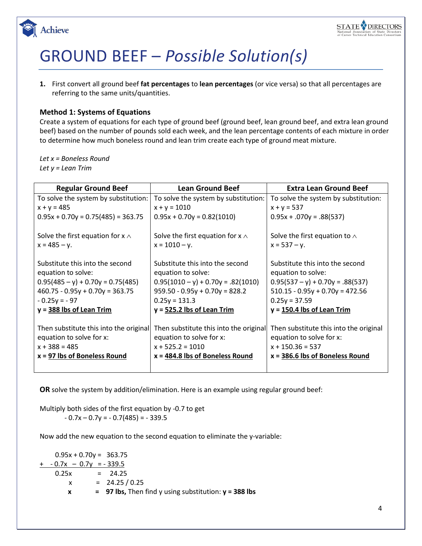

## GROUND BEEF – *Possible Solution(s)*

**1.** First convert all ground beef **fat percentages** to **lean percentages** (or vice versa) so that all percentages are referring to the same units/quantities.

### **Method 1: Systems of Equations**

Create a system of equations for each type of ground beef (ground beef, lean ground beef, and extra lean ground beef) based on the number of pounds sold each week, and the lean percentage contents of each mixture in order to determine how much boneless round and lean trim create each type of ground meat mixture.

*Let x = Boneless Round Let y = Lean Trim*

| <b>Regular Ground Beef</b>                                                                                                                                                        | <b>Lean Ground Beef</b>                                                                                                                                                              | <b>Extra Lean Ground Beef</b>                                                                                                                                                       |
|-----------------------------------------------------------------------------------------------------------------------------------------------------------------------------------|--------------------------------------------------------------------------------------------------------------------------------------------------------------------------------------|-------------------------------------------------------------------------------------------------------------------------------------------------------------------------------------|
| To solve the system by substitution:                                                                                                                                              | To solve the system by substitution:                                                                                                                                                 | To solve the system by substitution:                                                                                                                                                |
| $x + y = 485$                                                                                                                                                                     | $x + y = 1010$                                                                                                                                                                       | $x + y = 537$                                                                                                                                                                       |
| $0.95x + 0.70y = 0.75(485) = 363.75$                                                                                                                                              | $0.95x + 0.70y = 0.82(1010)$                                                                                                                                                         | $0.95x + .070y = .88(537)$                                                                                                                                                          |
| Solve the first equation for $x \wedge$                                                                                                                                           | Solve the first equation for $x \wedge$                                                                                                                                              | Solve the first equation to $\wedge$                                                                                                                                                |
| $x = 485 - y$ .                                                                                                                                                                   | $x = 1010 - y$ .                                                                                                                                                                     | $x = 537 - y$ .                                                                                                                                                                     |
| Substitute this into the second<br>equation to solve:<br>$0.95(485 - y) + 0.70y = 0.75(485)$<br>$460.75 - 0.95y + 0.70y = 363.75$<br>$-0.25y = -97$<br>$y = 388$ lbs of Lean Trim | Substitute this into the second<br>equation to solve:<br>$0.95(1010 - y) + 0.70y = .82(1010)$<br>$959.50 - 0.95y + 0.70y = 828.2$<br>$0.25y = 131.3$<br>$y = 525.2$ lbs of Lean Trim | Substitute this into the second<br>equation to solve:<br>$0.95(537 - y) + 0.70y = .88(537)$<br>$510.15 - 0.95y + 0.70y = 472.56$<br>$0.25y = 37.59$<br>$y = 150.4$ lbs of Lean Trim |
| Then substitute this into the original<br>equation to solve for x:<br>$x + 388 = 485$<br>$x = 97$ lbs of Boneless Round                                                           | Then substitute this into the original<br>equation to solve for x:<br>$x + 525.2 = 1010$<br>$x = 484.8$ lbs of Boneless Round                                                        | Then substitute this into the original<br>equation to solve for x:<br>$x + 150.36 = 537$<br>$x = 386.6$ lbs of Boneless Round                                                       |

**OR** solve the system by addition/elimination. Here is an example using regular ground beef:

Multiply both sides of the first equation by -0.7 to get  $-0.7x - 0.7y = -0.7(485) = -339.5$ 

Now add the new equation to the second equation to eliminate the y-variable:

 $0.95x + 0.70y = 363.75$  $+ -0.7x - 0.7y = -339.5$  $0.25x = 24.25$  $x = 24.25 / 0.25$ **x = 97 lbs,** Then find y using substitution: **y = 388 lbs**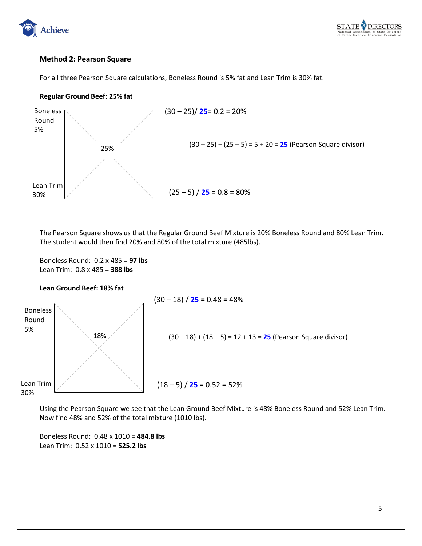

### **Method 2: Pearson Square**

For all three Pearson Square calculations, Boneless Round is 5% fat and Lean Trim is 30% fat.

### **Regular Ground Beef: 25% fat**

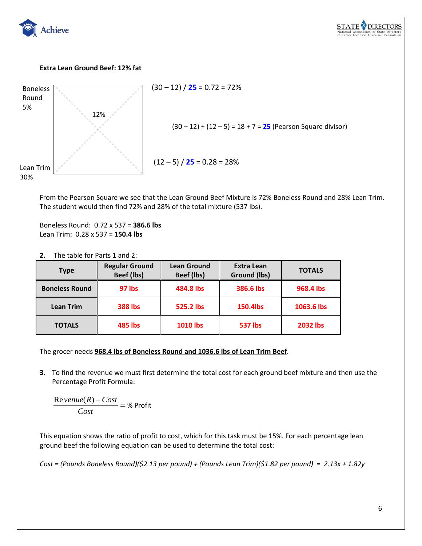

From the Pearson Square we see that the Lean Ground Beef Mixture is 72% Boneless Round and 28% Lean Trim. The student would then find 72% and 28% of the total mixture (537 lbs).

Boneless Round: 0.72 x 537 = **386.6 lbs** Lean Trim: 0.28 x 537 = **150.4 lbs**

| The table for Parts 1 and 2:<br>2. |
|------------------------------------|
|------------------------------------|

| <b>Type</b>           | <b>Regular Ground</b><br>Beef (lbs) | <b>Lean Ground</b><br>Beef (lbs) | <b>Extra Lean</b><br>Ground (lbs) | <b>TOTALS</b>   |
|-----------------------|-------------------------------------|----------------------------------|-----------------------------------|-----------------|
| <b>Boneless Round</b> | <b>97 lbs</b>                       | 484.8 lbs                        | 386.6 lbs                         | 968.4 lbs       |
| <b>Lean Trim</b>      | <b>388 lbs</b>                      | 525.2 lbs                        | 150.4lbs                          | 1063.6 lbs      |
| <b>TOTALS</b>         | <b>485 lbs</b>                      | <b>1010 lbs</b>                  | <b>537 lbs</b>                    | <b>2032 lbs</b> |

The grocer needs **968.4 lbs of Boneless Round and 1036.6 lbs of Lean Trim Beef**.

**3.** To find the revenue we must first determine the total cost for each ground beef mixture and then use the Percentage Profit Formula:

 $\frac{Re\,venue(R)-Cost}{Cost}$  = % Profit

This equation shows the ratio of profit to cost, which for this task must be 15%. For each percentage lean ground beef the following equation can be used to determine the total cost:

*Cost = (Pounds Boneless Round)(\$2.13 per pound) + (Pounds Lean Trim)(\$1.82 per pound) = 2.13x + 1.82y*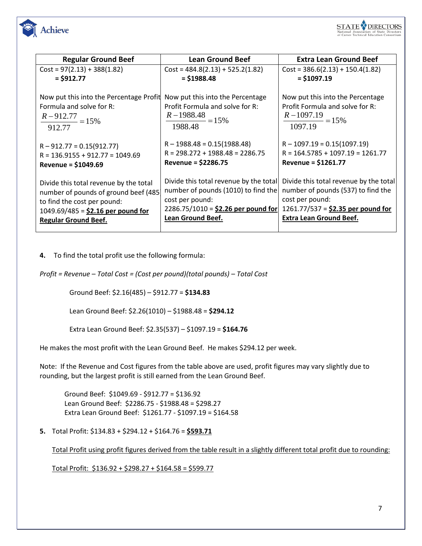

| <b>Regular Ground Beef</b>                                                                                                                                                           | <b>Lean Ground Beef</b>                                                                                                                                       | <b>Extra Lean Ground Beef</b>                                                                                                                                            |  |  |
|--------------------------------------------------------------------------------------------------------------------------------------------------------------------------------------|---------------------------------------------------------------------------------------------------------------------------------------------------------------|--------------------------------------------------------------------------------------------------------------------------------------------------------------------------|--|--|
| $Cost = 97(2.13) + 388(1.82)$                                                                                                                                                        | $Cost = 484.8(2.13) + 525.2(1.82)$                                                                                                                            | $Cost = 386.6(2.13) + 150.4(1.82)$                                                                                                                                       |  |  |
| $= $912.77$                                                                                                                                                                          | $=$ \$1988.48                                                                                                                                                 | $=$ \$1097.19                                                                                                                                                            |  |  |
| Now put this into the Percentage Profit<br>Formula and solve for R:<br>$\frac{R-912.77}{R} = 15\%$<br>912.77                                                                         | Now put this into the Percentage<br>Profit Formula and solve for R:<br>$rac{R-1988.48}{R} = 15\%$<br>1988.48                                                  | Now put this into the Percentage<br>Profit Formula and solve for R:<br>$\frac{R-1097.19}{1097.19} = 15\%$                                                                |  |  |
| $R - 912.77 = 0.15(912.77)$<br>$R = 136.9155 + 912.77 = 1049.69$<br>Revenue = $$1049.69$                                                                                             | $R - 1988.48 = 0.15(1988.48)$<br>$R = 298.272 + 1988.48 = 2286.75$<br>Revenue = $$2286.75$                                                                    | $R - 1097.19 = 0.15(1097.19)$<br>$R = 164.5785 + 1097.19 = 1261.77$<br>Revenue = $$1261.77$                                                                              |  |  |
| Divide this total revenue by the total<br>number of pounds of ground beef (485)<br>to find the cost per pound:<br>$1049.69/485 = $2.16$ per pound for<br><b>Regular Ground Beef.</b> | Divide this total revenue by the total<br>number of pounds (1010) to find the<br>cost per pound:<br>2286.75/1010 = $$2.26$ per pound for<br>Lean Ground Beef. | Divide this total revenue by the total<br>number of pounds (537) to find the<br>cost per pound:<br>1261.77/537 = $$2.35$ per pound for<br><b>Extra Lean Ground Beef.</b> |  |  |

**4.** To find the total profit use the following formula:

*Profit = Revenue – Total Cost = (Cost per pound)(total pounds) – Total Cost*

Ground Beef: \$2.16(485) – \$912.77 = **\$134.83** 

Lean Ground Beef: \$2.26(1010) – \$1988.48 = **\$294.12**

Extra Lean Ground Beef: \$2.35(537) – \$1097.19 = **\$164.76**

He makes the most profit with the Lean Ground Beef. He makes \$294.12 per week.

Note: If the Revenue and Cost figures from the table above are used, profit figures may vary slightly due to rounding, but the largest profit is still earned from the Lean Ground Beef.

Ground Beef: \$1049.69 - \$912.77 = \$136.92 Lean Ground Beef: \$2286.75 - \$1988.48 = \$298.27 Extra Lean Ground Beef: \$1261.77 - \$1097.19 = \$164.58

**5.** Total Profit: \$134.83 + \$294.12 + \$164.76 = **\$593.71**

Total Profit using profit figures derived from the table result in a slightly different total profit due to rounding:

Total Profit: \$136.92 + \$298.27 + \$164.58 = \$599.77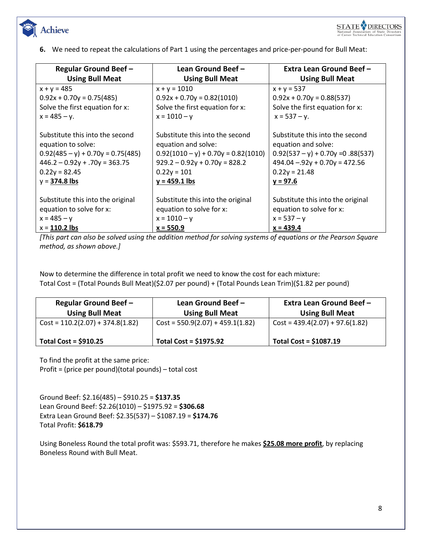

**6.** We need to repeat the calculations of Part 1 using the percentages and price-per-pound for Bull Meat:

| <b>Regular Ground Beef -</b>        | Lean Ground Beef -                    | Extra Lean Ground Beef-             |
|-------------------------------------|---------------------------------------|-------------------------------------|
| <b>Using Bull Meat</b>              | <b>Using Bull Meat</b>                | <b>Using Bull Meat</b>              |
| $x + y = 485$                       | $x + y = 1010$                        | $x + y = 537$                       |
| $0.92x + 0.70y = 0.75(485)$         | $0.92x + 0.70y = 0.82(1010)$          | $0.92x + 0.70y = 0.88(537)$         |
| Solve the first equation for x:     | Solve the first equation for x:       | Solve the first equation for x:     |
| $x = 485 - y$ .                     | $x = 1010 - y$                        | $x = 537 - y$ .                     |
|                                     |                                       |                                     |
| Substitute this into the second     | Substitute this into the second       | Substitute this into the second     |
| equation to solve:                  | equation and solve:                   | equation and solve:                 |
| $0.92(485 - y) + 0.70y = 0.75(485)$ | $0.92(1010 - y) + 0.70y = 0.82(1010)$ | $0.92(537 - y) + 0.70y = 0.88(537)$ |
| $446.2 - 0.92y + .70y = 363.75$     | $929.2 - 0.92y + 0.70y = 828.2$       | $494.04 - 92y + 0.70y = 472.56$     |
| $0.22y = 82.45$                     | $0.22y = 101$                         | $0.22y = 21.48$                     |
| $y = 374.8$ lbs                     | $y = 459.1$ lbs                       | $y = 97.6$                          |
|                                     |                                       |                                     |
| Substitute this into the original   | Substitute this into the original     | Substitute this into the original   |
| equation to solve for x:            | equation to solve for x:              | equation to solve for x:            |
| $x = 485 - y$                       | $x = 1010 - y$                        | $x = 537 - y$                       |
| $x = 110.2$ lbs                     | $x = 550.9$                           | $x = 439.4$                         |

*[This part can also be solved using the addition method for solving systems of equations or the Pearson Square method, as shown above.]*

Now to determine the difference in total profit we need to know the cost for each mixture: Total Cost = (Total Pounds Bull Meat)(\$2.07 per pound) + (Total Pounds Lean Trim)(\$1.82 per pound)

| <b>Regular Ground Beef -</b><br><b>Using Bull Meat</b> | Lean Ground Beef -<br><b>Using Bull Meat</b> | Extra Lean Ground Beef -<br><b>Using Bull Meat</b> |
|--------------------------------------------------------|----------------------------------------------|----------------------------------------------------|
| $Cost = 110.2(2.07) + 374.8(1.82)$                     | $Cost = 550.9(2.07) + 459.1(1.82)$           | $\vert$ Cost = 439.4(2.07) + 97.6(1.82)            |
| Total Cost = $$910.25$                                 | <b>Total Cost = \$1975.92</b>                | Total Cost = $$1087.19$                            |

To find the profit at the same price:

Profit = (price per pound)(total pounds) – total cost

Ground Beef: \$2.16(485) – \$910.25 = **\$137.35** Lean Ground Beef: \$2.26(1010) – \$1975.92 = **\$306.68** Extra Lean Ground Beef: \$2.35(537) – \$1087.19 = **\$174.76** Total Profit: **\$618.79**

Using Boneless Round the total profit was: \$593.71, therefore he makes **\$25.08 more profit**, by replacing Boneless Round with Bull Meat.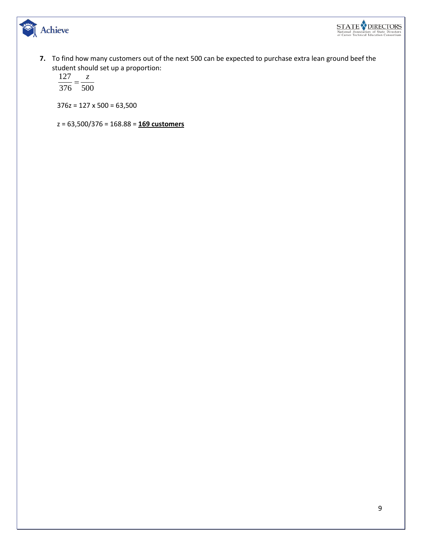



**7.** To find how many customers out of the next 500 can be expected to purchase extra lean ground beef the student should set up a proportion:<br>127  $z$ 

 $\frac{127}{376} = \frac{z}{500}$ 

376z = 127 x 500 = 63,500

z = 63,500/376 = 168.88 = **169 customers**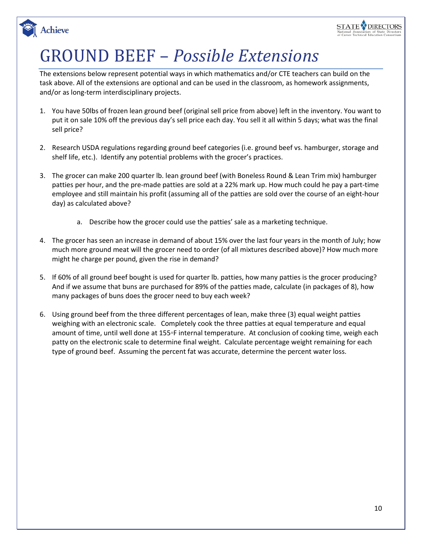## **STATE DIRECTORS**

# GROUND BEEF – *Possible Extensions*

Achieve

The extensions below represent potential ways in which mathematics and/or CTE teachers can build on the task above. All of the extensions are optional and can be used in the classroom, as homework assignments, and/or as long-term interdisciplinary projects.

- 1. You have 50lbs of frozen lean ground beef (original sell price from above) left in the inventory. You want to put it on sale 10% off the previous day's sell price each day. You sell it all within 5 days; what was the final sell price?
- 2. Research USDA regulations regarding ground beef categories (i.e. ground beef vs. hamburger, storage and shelf life, etc.). Identify any potential problems with the grocer's practices.
- 3. The grocer can make 200 quarter lb. lean ground beef (with Boneless Round & Lean Trim mix) hamburger patties per hour, and the pre-made patties are sold at a 22% mark up. How much could he pay a part-time employee and still maintain his profit (assuming all of the patties are sold over the course of an eight-hour day) as calculated above?
	- a. Describe how the grocer could use the patties' sale as a marketing technique.
- 4. The grocer has seen an increase in demand of about 15% over the last four years in the month of July; how much more ground meat will the grocer need to order (of all mixtures described above)? How much more might he charge per pound, given the rise in demand?
- 5. If 60% of all ground beef bought is used for quarter lb. patties, how many patties is the grocer producing? And if we assume that buns are purchased for 89% of the patties made, calculate (in packages of 8), how many packages of buns does the grocer need to buy each week?
- 6. Using ground beef from the three different percentages of lean, make three (3) equal weight patties weighing with an electronic scale. Completely cook the three patties at equal temperature and equal amount of time, until well done at 155◦F internal temperature. At conclusion of cooking time, weigh each patty on the electronic scale to determine final weight. Calculate percentage weight remaining for each type of ground beef. Assuming the percent fat was accurate, determine the percent water loss.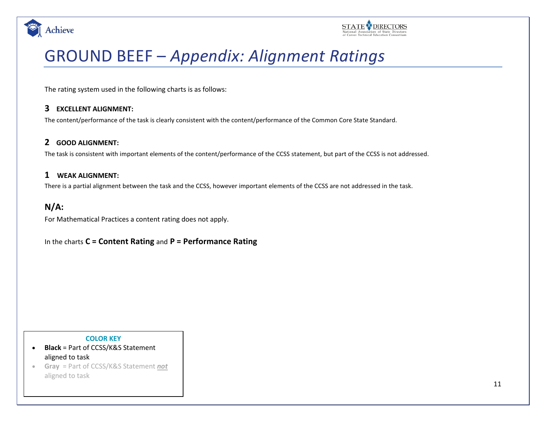



## GROUND BEEF – *Appendix: Alignment Ratings*

The rating system used in the following charts is as follows:

### **3 EXCELLENT ALIGNMENT:**

The content/performance of the task is clearly consistent with the content/performance of the Common Core State Standard.

### **2 GOOD ALIGNMENT:**

The task is consistent with important elements of the content/performance of the CCSS statement, but part of the CCSS is not addressed.

### **1 WEAK ALIGNMENT:**

There is a partial alignment between the task and the CCSS, however important elements of the CCSS are not addressed in the task.

### **N/A:**

For Mathematical Practices a content rating does not apply.

In the charts **C = Content Rating** and **P = Performance Rating**

#### **COLOR KEY**

- **Black** = Part of CCSS/K&S Statement aligned to task
- **Gray** = Part of CCSS/K&S Statement *not* aligned to task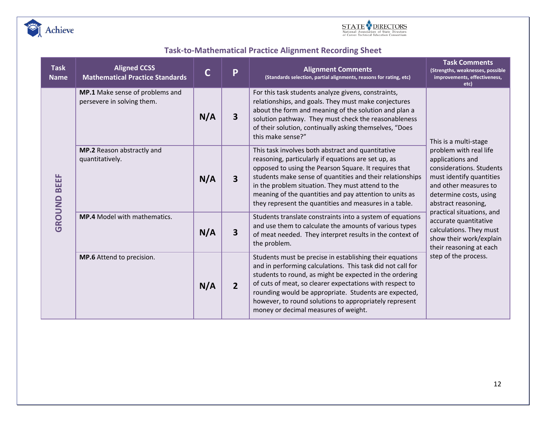



## **Task-to-Mathematical Practice Alignment Recording Sheet**

| <b>Task</b><br><b>Name</b> | <b>Aligned CCSS</b><br><b>Mathematical Practice Standards</b> | $\mathsf{C}$ | P                                                                                                                                                                                                                                                                                                                 | <b>Alignment Comments</b><br>(Standards selection, partial alignments, reasons for rating, etc)                                                                                                                                                                                                                                                                                                          | <b>Task Comments</b><br>(Strengths, weaknesses, possible<br>improvements, effectiveness,<br>etc)                                                                             |  |
|----------------------------|---------------------------------------------------------------|--------------|-------------------------------------------------------------------------------------------------------------------------------------------------------------------------------------------------------------------------------------------------------------------------------------------------------------------|----------------------------------------------------------------------------------------------------------------------------------------------------------------------------------------------------------------------------------------------------------------------------------------------------------------------------------------------------------------------------------------------------------|------------------------------------------------------------------------------------------------------------------------------------------------------------------------------|--|
|                            | MP.1 Make sense of problems and<br>persevere in solving them. | N/A          | For this task students analyze givens, constraints,<br>relationships, and goals. They must make conjectures<br>about the form and meaning of the solution and plan a<br>3<br>solution pathway. They must check the reasonableness<br>of their solution, continually asking themselves, "Does<br>this make sense?" |                                                                                                                                                                                                                                                                                                                                                                                                          | This is a multi-stage                                                                                                                                                        |  |
| <b>GROUND BEEF</b>         | MP.2 Reason abstractly and<br>quantitatively.                 | N/A          | 3                                                                                                                                                                                                                                                                                                                 | This task involves both abstract and quantitative<br>reasoning, particularly if equations are set up, as<br>opposed to using the Pearson Square. It requires that<br>students make sense of quantities and their relationships<br>in the problem situation. They must attend to the<br>meaning of the quantities and pay attention to units as<br>they represent the quantities and measures in a table. | problem with real life<br>applications and<br>considerations. Students<br>must identify quantities<br>and other measures to<br>determine costs, using<br>abstract reasoning, |  |
|                            | <b>MP.4</b> Model with mathematics.                           | N/A          | 3                                                                                                                                                                                                                                                                                                                 | Students translate constraints into a system of equations<br>and use them to calculate the amounts of various types<br>of meat needed. They interpret results in the context of<br>the problem.                                                                                                                                                                                                          | practical situations, and<br>accurate quantitative<br>calculations. They must<br>show their work/explain<br>their reasoning at each                                          |  |
|                            | MP.6 Attend to precision.                                     | N/A          | $\overline{2}$                                                                                                                                                                                                                                                                                                    | Students must be precise in establishing their equations<br>and in performing calculations. This task did not call for<br>students to round, as might be expected in the ordering<br>of cuts of meat, so clearer expectations with respect to<br>rounding would be appropriate. Students are expected,<br>however, to round solutions to appropriately represent<br>money or decimal measures of weight. | step of the process.                                                                                                                                                         |  |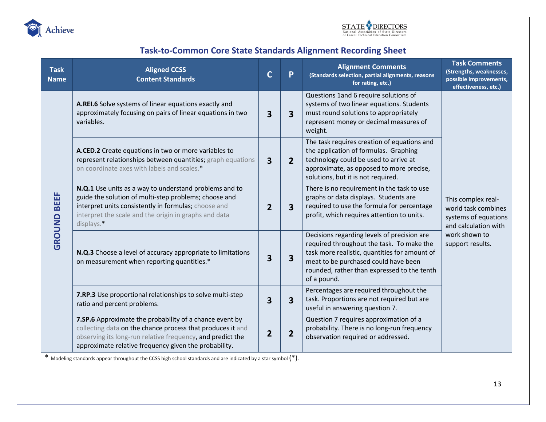



### **Task-to-Common Core State Standards Alignment Recording Sheet**

| <b>Task</b><br><b>Name</b> | <b>Aligned CCSS</b><br><b>Content Standards</b>                                                                                                                                                                                                | $\mathbf C$    | P                       | <b>Alignment Comments</b><br>(Standards selection, partial alignments, reasons<br>for rating, etc.)                                                                                                                                             | <b>Task Comments</b><br>(Strengths, weaknesses,<br>possible improvements,<br>effectiveness, etc.) |  |
|----------------------------|------------------------------------------------------------------------------------------------------------------------------------------------------------------------------------------------------------------------------------------------|----------------|-------------------------|-------------------------------------------------------------------------------------------------------------------------------------------------------------------------------------------------------------------------------------------------|---------------------------------------------------------------------------------------------------|--|
|                            | A.REI.6 Solve systems of linear equations exactly and<br>approximately focusing on pairs of linear equations in two<br>variables.                                                                                                              | 3              | 3                       | Questions 1and 6 require solutions of<br>systems of two linear equations. Students<br>must round solutions to appropriately<br>represent money or decimal measures of<br>weight.                                                                |                                                                                                   |  |
| <b>GROUND BEEF</b>         | A.CED.2 Create equations in two or more variables to<br>represent relationships between quantities; graph equations<br>on coordinate axes with labels and scales.*                                                                             |                | $\overline{2}$          | The task requires creation of equations and<br>the application of formulas. Graphing<br>technology could be used to arrive at<br>approximate, as opposed to more precise,<br>solutions, but it is not required.                                 |                                                                                                   |  |
|                            | N.Q.1 Use units as a way to understand problems and to<br>guide the solution of multi-step problems; choose and<br>interpret units consistently in formulas; choose and<br>interpret the scale and the origin in graphs and data<br>displays.* | $\overline{2}$ | 3                       | There is no requirement in the task to use<br>graphs or data displays. Students are<br>required to use the formula for percentage<br>profit, which requires attention to units.                                                                 | This complex real-<br>world task combines<br>systems of equations<br>and calculation with         |  |
|                            | N.Q.3 Choose a level of accuracy appropriate to limitations<br>on measurement when reporting quantities.*                                                                                                                                      | 3              | $\overline{\mathbf{3}}$ | Decisions regarding levels of precision are<br>required throughout the task. To make the<br>task more realistic, quantities for amount of<br>meat to be purchased could have been<br>rounded, rather than expressed to the tenth<br>of a pound. | work shown to<br>support results.                                                                 |  |
|                            | 7.RP.3 Use proportional relationships to solve multi-step<br>ratio and percent problems.                                                                                                                                                       | 3              | 3                       | Percentages are required throughout the<br>task. Proportions are not required but are<br>useful in answering question 7.                                                                                                                        |                                                                                                   |  |
|                            | 7.SP.6 Approximate the probability of a chance event by<br>collecting data on the chance process that produces it and<br>observing its long-run relative frequency, and predict the<br>approximate relative frequency given the probability.   |                | $\overline{2}$          | Question 7 requires approximation of a<br>probability. There is no long-run frequency<br>observation required or addressed.                                                                                                                     |                                                                                                   |  |

\* Modeling standards appear throughout the CCSS high school standards and are indicated by a star symbol (\*).